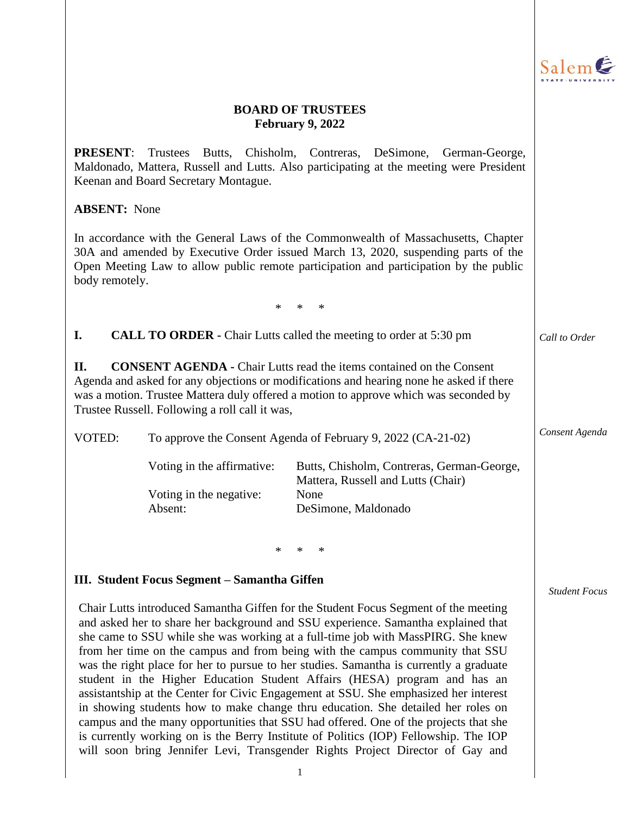

### **BOARD OF TRUSTEES February 9, 2022**

**PRESENT**: Trustees Butts, Chisholm, Contreras, DeSimone, German-George, Maldonado, Mattera, Russell and Lutts. Also participating at the meeting were President Keenan and Board Secretary Montague.

### **ABSENT:** None

In accordance with the General Laws of the Commonwealth of Massachusetts, Chapter 30A and amended by Executive Order issued March 13, 2020, suspending parts of the Open Meeting Law to allow public remote participation and participation by the public body remotely.

\* \* \*

**I. CALL TO ORDER -** Chair Lutts called the meeting to order at 5:30 pm

**II. CONSENT AGENDA -** Chair Lutts read the items contained on the Consent Agenda and asked for any objections or modifications and hearing none he asked if there was a motion. Trustee Mattera duly offered a motion to approve which was seconded by Trustee Russell. Following a roll call it was,

VOTED: To approve the Consent Agenda of February 9, 2022 (CA-21-02)

| Voting in the affirmative: | Butts, Chisholm, Contreras, German-George, |
|----------------------------|--------------------------------------------|
|                            | Mattera, Russell and Lutts (Chair)         |
| Voting in the negative:    | None                                       |
| Absent:                    | DeSimone, Maldonado                        |

\* \* \*

### **III. Student Focus Segment – Samantha Giffen**

Chair Lutts introduced Samantha Giffen for the Student Focus Segment of the meeting and asked her to share her background and SSU experience. Samantha explained that she came to SSU while she was working at a full-time job with MassPIRG. She knew from her time on the campus and from being with the campus community that SSU was the right place for her to pursue to her studies. Samantha is currently a graduate student in the Higher Education Student Affairs (HESA) program and has an assistantship at the Center for Civic Engagement at SSU. She emphasized her interest in showing students how to make change thru education. She detailed her roles on campus and the many opportunities that SSU had offered. One of the projects that she is currently working on is the Berry Institute of Politics (IOP) Fellowship. The IOP will soon bring Jennifer Levi, Transgender Rights Project Director of Gay and *Student Focus*

*Call to Order*

*Consent Agenda*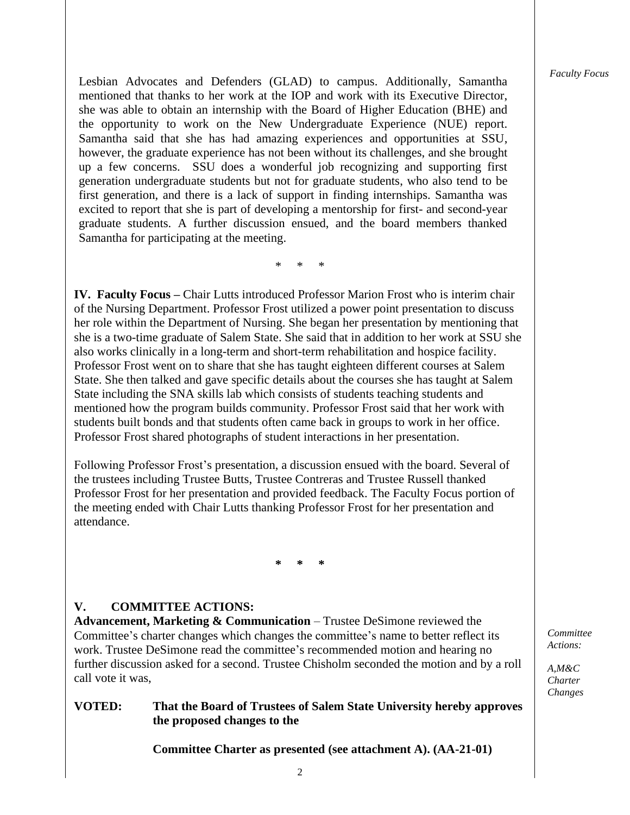*Faculty Focus*

Lesbian Advocates and Defenders (GLAD) to campus. Additionally, Samantha mentioned that thanks to her work at the IOP and work with its Executive Director, she was able to obtain an internship with the Board of Higher Education (BHE) and the opportunity to work on the New Undergraduate Experience (NUE) report. Samantha said that she has had amazing experiences and opportunities at SSU, however, the graduate experience has not been without its challenges, and she brought up a few concerns. SSU does a wonderful job recognizing and supporting first generation undergraduate students but not for graduate students, who also tend to be first generation, and there is a lack of support in finding internships. Samantha was excited to report that she is part of developing a mentorship for first- and second-year graduate students. A further discussion ensued, and the board members thanked Samantha for participating at the meeting.

\* \* \*

**IV. Faculty Focus –** Chair Lutts introduced Professor Marion Frost who is interim chair of the Nursing Department. Professor Frost utilized a power point presentation to discuss her role within the Department of Nursing. She began her presentation by mentioning that she is a two-time graduate of Salem State. She said that in addition to her work at SSU she also works clinically in a long-term and short-term rehabilitation and hospice facility. Professor Frost went on to share that she has taught eighteen different courses at Salem State. She then talked and gave specific details about the courses she has taught at Salem State including the SNA skills lab which consists of students teaching students and mentioned how the program builds community. Professor Frost said that her work with students built bonds and that students often came back in groups to work in her office. Professor Frost shared photographs of student interactions in her presentation.

Following Professor Frost's presentation, a discussion ensued with the board. Several of the trustees including Trustee Butts, Trustee Contreras and Trustee Russell thanked Professor Frost for her presentation and provided feedback. The Faculty Focus portion of the meeting ended with Chair Lutts thanking Professor Frost for her presentation and attendance.

**\* \* \***

### **V. COMMITTEE ACTIONS:**

**Advancement, Marketing & Communication** – Trustee DeSimone reviewed the Committee's charter changes which changes the committee's name to better reflect its work. Trustee DeSimone read the committee's recommended motion and hearing no further discussion asked for a second. Trustee Chisholm seconded the motion and by a roll call vote it was,

### **VOTED: That the Board of Trustees of Salem State University hereby approves the proposed changes to the**

**Committee Charter as presented (see attachment A). (AA-21-01)**

*Committee Actions:*

*A,M&C Charter Changes*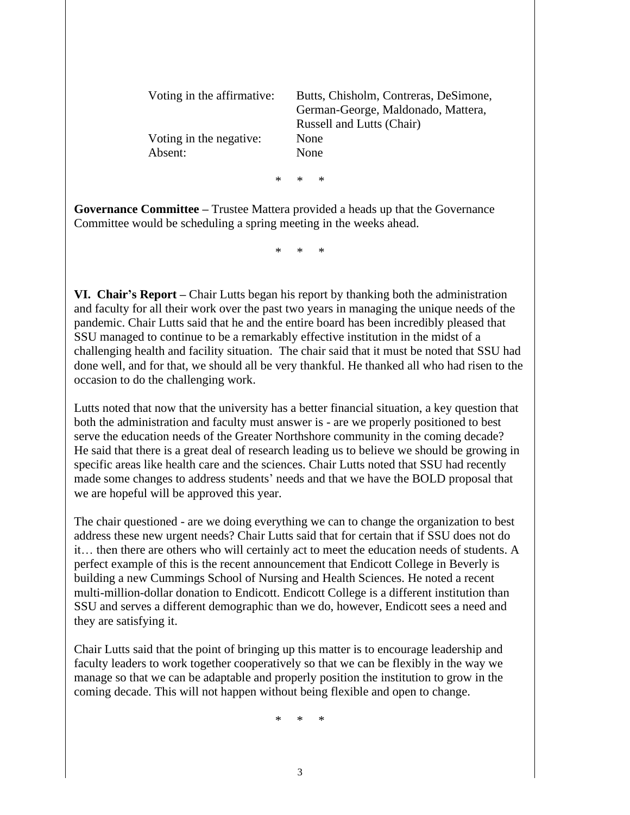| Voting in the affirmative:<br>Voting in the negative:<br>Absent: |        | Butts, Chisholm, Contreras, DeSimone,<br>German-George, Maldonado, Mattera,<br><b>Russell and Lutts (Chair)</b><br>None<br>None |  |
|------------------------------------------------------------------|--------|---------------------------------------------------------------------------------------------------------------------------------|--|
|                                                                  | $\ast$ | $*$ *                                                                                                                           |  |

**Governance Committee –** Trustee Mattera provided a heads up that the Governance Committee would be scheduling a spring meeting in the weeks ahead.

\* \* \*

**VI. Chair's Report –** Chair Lutts began his report by thanking both the administration and faculty for all their work over the past two years in managing the unique needs of the pandemic. Chair Lutts said that he and the entire board has been incredibly pleased that SSU managed to continue to be a remarkably effective institution in the midst of a challenging health and facility situation. The chair said that it must be noted that SSU had done well, and for that, we should all be very thankful. He thanked all who had risen to the occasion to do the challenging work.

Lutts noted that now that the university has a better financial situation, a key question that both the administration and faculty must answer is - are we properly positioned to best serve the education needs of the Greater Northshore community in the coming decade? He said that there is a great deal of research leading us to believe we should be growing in specific areas like health care and the sciences. Chair Lutts noted that SSU had recently made some changes to address students' needs and that we have the BOLD proposal that we are hopeful will be approved this year.

The chair questioned - are we doing everything we can to change the organization to best address these new urgent needs? Chair Lutts said that for certain that if SSU does not do it… then there are others who will certainly act to meet the education needs of students. A perfect example of this is the recent announcement that Endicott College in Beverly is building a new Cummings School of Nursing and Health Sciences. He noted a recent multi-million-dollar donation to Endicott. Endicott College is a different institution than SSU and serves a different demographic than we do, however, Endicott sees a need and they are satisfying it.

Chair Lutts said that the point of bringing up this matter is to encourage leadership and faculty leaders to work together cooperatively so that we can be flexibly in the way we manage so that we can be adaptable and properly position the institution to grow in the coming decade. This will not happen without being flexible and open to change.

\* \* \*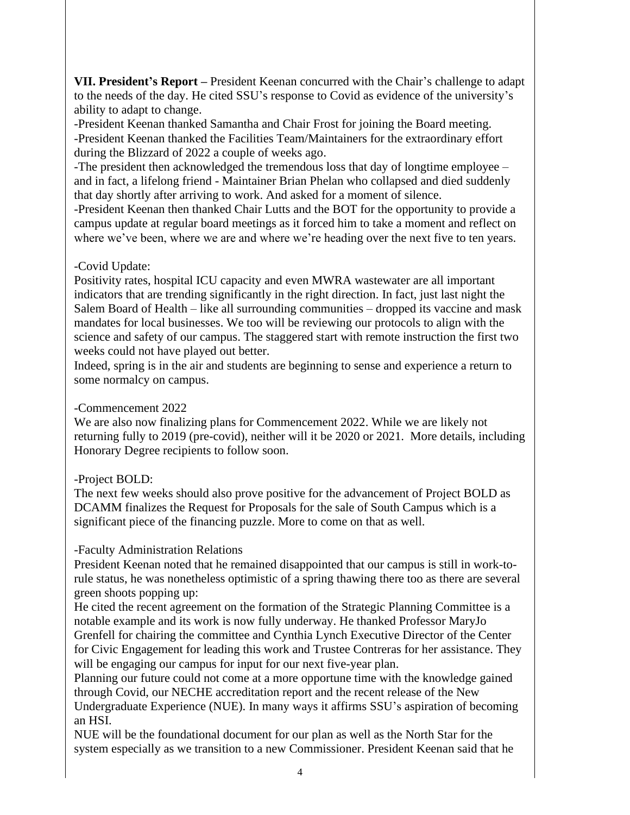**VII. President's Report –** President Keenan concurred with the Chair's challenge to adapt to the needs of the day. He cited SSU's response to Covid as evidence of the university's ability to adapt to change.

-President Keenan thanked Samantha and Chair Frost for joining the Board meeting. -President Keenan thanked the Facilities Team/Maintainers for the extraordinary effort during the Blizzard of 2022 a couple of weeks ago.

-The president then acknowledged the tremendous loss that day of longtime employee – and in fact, a lifelong friend - Maintainer Brian Phelan who collapsed and died suddenly that day shortly after arriving to work. And asked for a moment of silence.

-President Keenan then thanked Chair Lutts and the BOT for the opportunity to provide a campus update at regular board meetings as it forced him to take a moment and reflect on where we've been, where we are and where we're heading over the next five to ten years.

# -Covid Update:

Positivity rates, hospital ICU capacity and even MWRA wastewater are all important indicators that are trending significantly in the right direction. In fact, just last night the Salem Board of Health – like all surrounding communities – dropped its vaccine and mask mandates for local businesses. We too will be reviewing our protocols to align with the science and safety of our campus. The staggered start with remote instruction the first two weeks could not have played out better.

Indeed, spring is in the air and students are beginning to sense and experience a return to some normalcy on campus.

## -Commencement 2022

We are also now finalizing plans for Commencement 2022. While we are likely not returning fully to 2019 (pre-covid), neither will it be 2020 or 2021. More details, including Honorary Degree recipients to follow soon.

# -Project BOLD:

The next few weeks should also prove positive for the advancement of Project BOLD as DCAMM finalizes the Request for Proposals for the sale of South Campus which is a significant piece of the financing puzzle. More to come on that as well.

# -Faculty Administration Relations

President Keenan noted that he remained disappointed that our campus is still in work-torule status, he was nonetheless optimistic of a spring thawing there too as there are several green shoots popping up:

He cited the recent agreement on the formation of the Strategic Planning Committee is a notable example and its work is now fully underway. He thanked Professor MaryJo Grenfell for chairing the committee and Cynthia Lynch Executive Director of the Center for Civic Engagement for leading this work and Trustee Contreras for her assistance. They will be engaging our campus for input for our next five-year plan.

Planning our future could not come at a more opportune time with the knowledge gained through Covid, our NECHE accreditation report and the recent release of the New Undergraduate Experience (NUE). In many ways it affirms SSU's aspiration of becoming an HSI.

NUE will be the foundational document for our plan as well as the North Star for the system especially as we transition to a new Commissioner. President Keenan said that he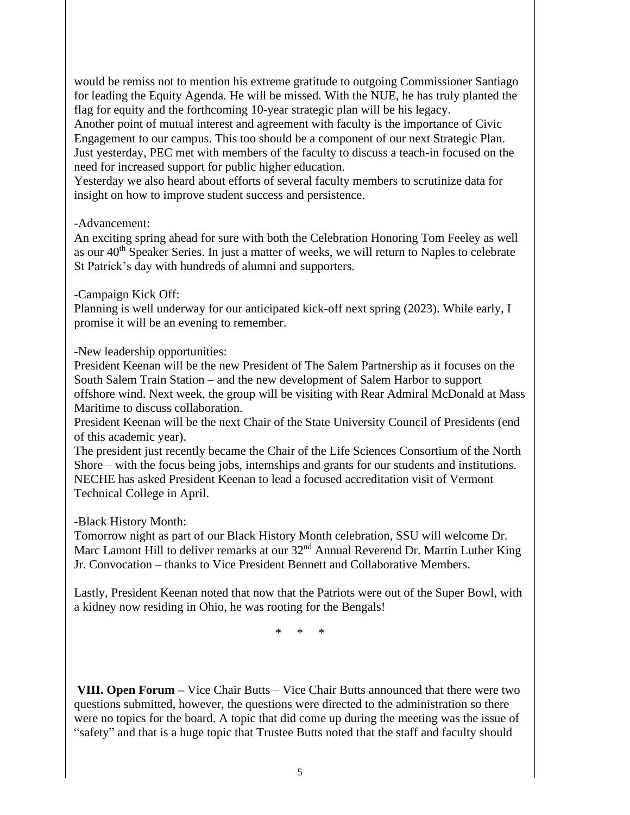would be remiss not to mention his extreme gratitude to outgoing Commissioner Santiago for leading the Equity Agenda. He will be missed. With the NUE, he has truly planted the flag for equity and the forthcoming 10-year strategic plan will be his legacy.

Another point of mutual interest and agreement with faculty is the importance of Civic Engagement to our campus. This too should be a component of our next Strategic Plan. Just yesterday, PEC met with members of the faculty to discuss a teach-in focused on the need for increased support for public higher education.

Yesterday we also heard about efforts of several faculty members to scrutinize data for insight on how to improve student success and persistence.

### -Advancement:

An exciting spring ahead for sure with both the Celebration Honoring Tom Feeley as well as our 40<sup>th</sup> Speaker Series. In just a matter of weeks, we will return to Naples to celebrate St Patrick's day with hundreds of alumni and supporters.

### -Campaign Kick Off:

Planning is well underway for our anticipated kick-off next spring (2023). While early, I promise it will be an evening to remember.

-New leadership opportunities:

President Keenan will be the new President of The Salem Partnership as it focuses on the South Salem Train Station – and the new development of Salem Harbor to support offshore wind. Next week, the group will be visiting with Rear Admiral McDonald at Mass Maritime to discuss collaboration.

President Keenan will be the next Chair of the State University Council of Presidents (end of this academic year).

The president just recently became the Chair of the Life Sciences Consortium of the North Shore – with the focus being jobs, internships and grants for our students and institutions. NECHE has asked President Keenan to lead a focused accreditation visit of Vermont Technical College in April.

## -Black History Month:

Tomorrow night as part of our Black History Month celebration, SSU will welcome Dr. Marc Lamont Hill to deliver remarks at our 32<sup>nd</sup> Annual Reverend Dr. Martin Luther King Jr. Convocation – thanks to Vice President Bennett and Collaborative Members.

Lastly, President Keenan noted that now that the Patriots were out of the Super Bowl, with a kidney now residing in Ohio, he was rooting for the Bengals!

\* \* \*

**VIII. Open Forum –** Vice Chair Butts – Vice Chair Butts announced that there were two questions submitted, however, the questions were directed to the administration so there were no topics for the board. A topic that did come up during the meeting was the issue of "safety" and that is a huge topic that Trustee Butts noted that the staff and faculty should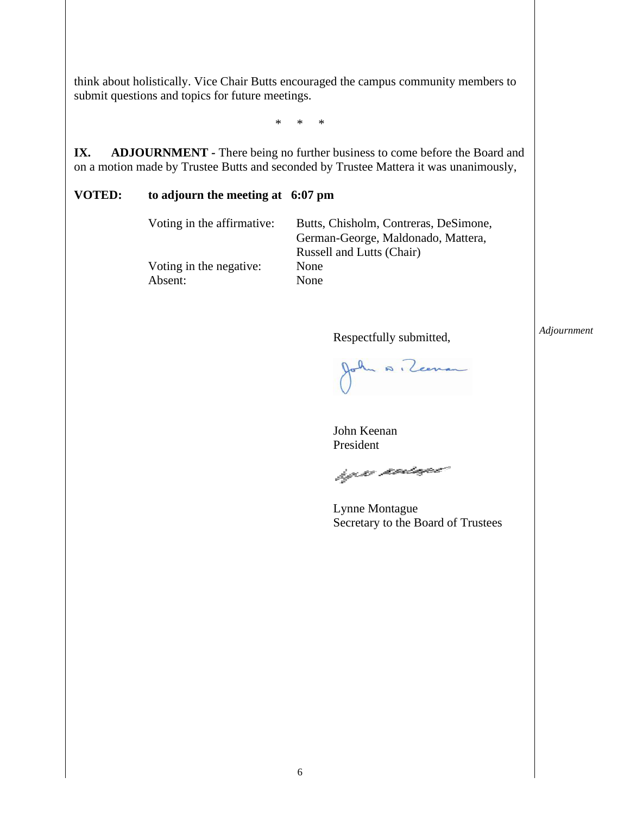think about holistically. Vice Chair Butts encouraged the campus community members to submit questions and topics for future meetings.

\* \* \*

**IX. ADJOURNMENT** - There being no further business to come before the Board and on a motion made by Trustee Butts and seconded by Trustee Mattera it was unanimously,

### **VOTED: to adjourn the meeting at 6:07 pm**

Voting in the negative: None Absent: None

Voting in the affirmative: Butts, Chisholm, Contreras, DeSimone, German-George, Maldonado, Mattera, Russell and Lutts (Chair)

Respectfully submitted,

*Adjournment*

John A. Zeenan

John Keenan President

hy n nonsyce

Lynne Montague Secretary to the Board of Trustees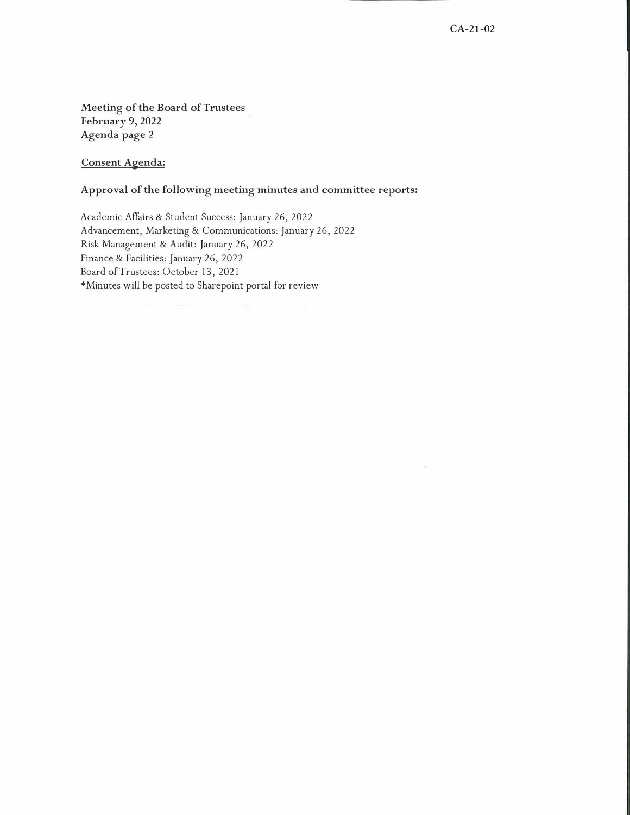**Meeting of the Board of Trustees February 9, 2022 Agenda page 2** 

**Consent Agenda:** 

### **Approval of the following meeting minutes and committee reports:**

Academic Affairs & Student Success: January 26, 2022 Advancement, Marketing & Communications: January 26, 2022 Risk Management & Audit: January 26, 2022 Finance & Facilities: January 26, 2022 Board of Trustees: October 13, 2021 \*Minutes will be posted to Sharepoint portal for review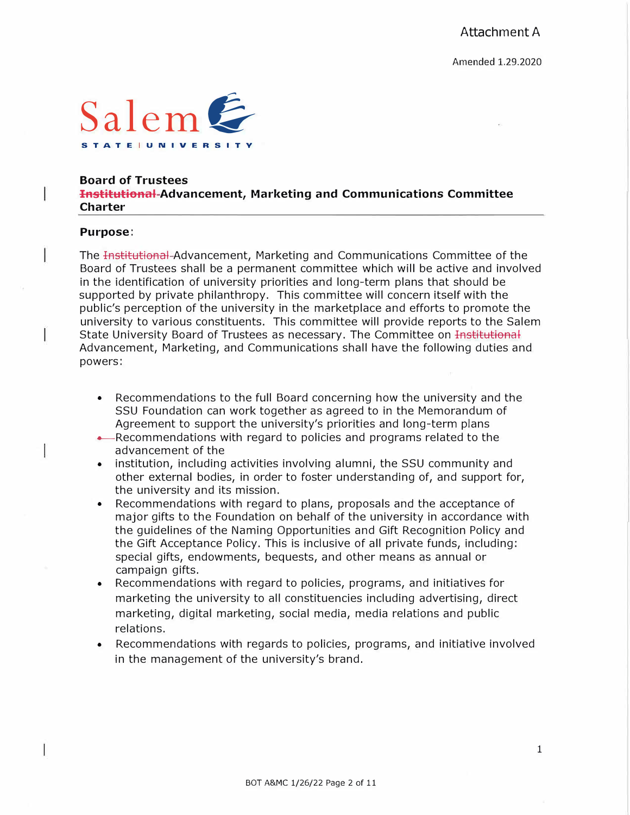

#### **Boa rd of Trustees**

**Institutional Advancement, Marketing and Communications Committee Charter** 

#### **Purpose:**

The Institutional Advancement, Marketing and Communications Committee of the Board of Trustees shall be a permanent committee which will be active and involved in the identification of university priorities and long-term plans that should be supported by private philanthropy. This committee will concern itself with the public's perception of the university in the marketplace and efforts to promote the university to various constituents. This committee will provide reports to the Salem State University Board of Trustees as necessary. The Committee on Institutional Advancement, Marketing, and Communications shall have the following duties and powers:

- Recommendations to the full Board concerning how the university and the SSU Foundation can work together as agreed to in the Memorandum of Agreement to support the university's priorities and long-term plans
- -Recommendations with regard to policies and programs related to the advancement of the
- institution, including activities involving alumni, the SSU community and other external bodies, in order to foster understanding of, and support for, the university and its mission.
- Recommendations with regard to plans, proposals and the acceptance of major gifts to the Foundation on behalf of the university in accordance with the guidelines of the Naming Opportunities and Gift Recognition Policy and the Gift Acceptance Policy. This is inclusive of all private funds, including: special gifts, endowments, bequests, and other means as annual or campaign gifts.
- Recommendations with regard to policies, programs, and initiatives for marketing the university to all constituencies including advertising, direct marketing, digital marketing, social media, media relations and public relations.
- Recommendations with regards to policies, programs, and initiative involved in the management of the university's brand.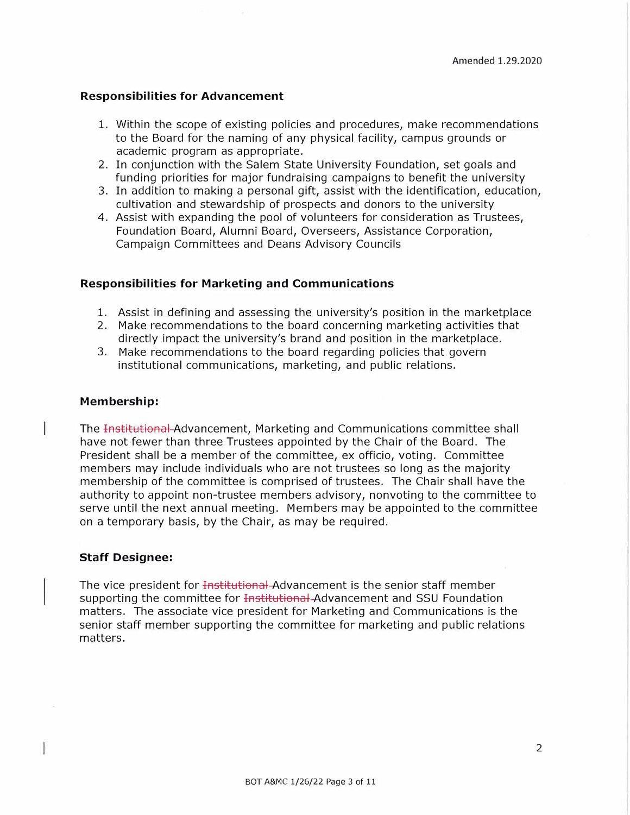#### **Responsibilities for Advancement**

- 1. Within the scope of existing policies and procedures, make recommendations to the Board for the naming of any physical facility, campus grounds or academic program as appropriate.
- 2. In conjunction with the Salem State University Foundation, set goals and funding priorities for major fundraising campaigns to benefit the university
- 3. In addition to making a personal gift, assist with the identification, education, cultivation and stewardship of prospects and donors to the university
- 4. Assist with expanding the pool of volunteers for consideration as Trustees, Foundation Board, Alumni Board, Overseers, Assistance Corporation, Campaign Committees and Deans Advisory Councils

#### **Responsibilities for Marketing and Communications**

- 1. Assist in defining and assessing the university's position in the marketplace
- 2. Make recommendations to the board concerning marketing activities that directly impact the university's brand and position in the marketplace.
- 3. Make recommendations to the board regarding policies that govern institutional communications, marketing, and public relations.

#### **Membership:**

1

The Institutional Advancement, Marketing and Communications committee shall have not fewer than three Trustees appointed by the Chair of the Board. The President shall be a member of the committee, ex officio, voting. Committee members may include individuals who are not trustees so long as the majority membership of the committee is comprised of trustees. The Chair shall have the authority to appoint non-trustee members advisory, nonvoting to the committee to serve until the next annual meeting. Members may be appointed to the committee on a temporary basis, by the Chair, as may be required.

#### **Staff Designee:**

The vice president for <del>Institutional</del>-Advancement is the senior staff member supporting the committee for Institutional-Advancement and SSU Foundation matters. The associate vice president for Marketing and Communications is the senior staff member supporting the committee for marketing and public relations matters.